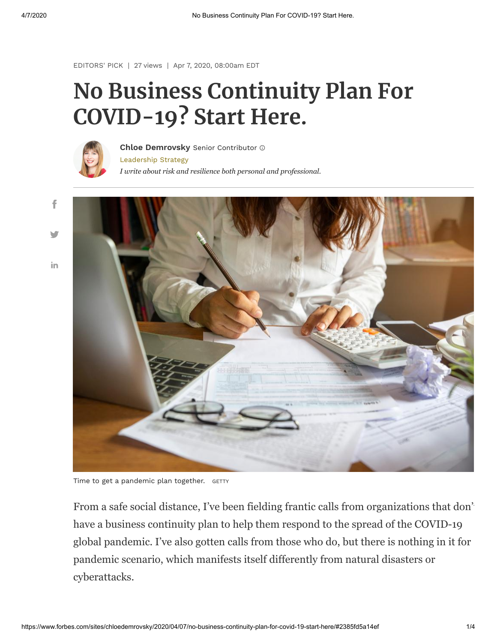[EDITORS'](https://www.forbes.com/editors-picks) PICK | 27 views | Apr 7, 2020, 08:00am EDT

# **No Business Continuity Plan For COVID-19? Start Here.**



f

[Leadership](https://www.forbes.com/leadership-strategy) Strategy *I write about risk and resilience both personal and professional.* **Chloe [Demrovsky](https://www.forbes.com/sites/chloedemrovsky/)** Senior Contributor



Time to get a pandemic plan together. GETTY

From a safe social distance, I've been fielding frantic calls from organizations that don't have a business continuity plan to help them respond to the spread of the COVID-19 global pandemic. I've also gotten calls from those who do, but there is nothing in it for pandemic scenario, which manifests itself differently from natural disasters or cyberattacks.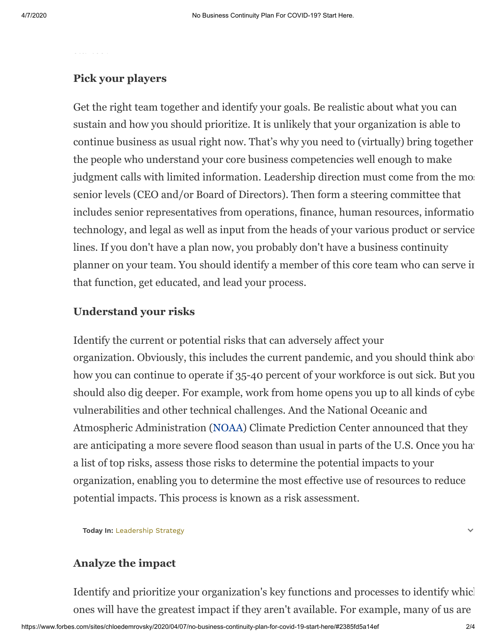started:

### **Pick your players**

Get the right team together and identify your goals. Be realistic about what you can sustain and how you should prioritize. It is unlikely that your organization is able to continue business as usual right now. That's why you need to (virtually) bring together the people who understand your core business competencies well enough to make judgment calls with limited information. Leadership direction must come from the mos senior levels (CEO and/or Board of Directors). Then form a steering committee that includes senior representatives from operations, finance, human resources, informatio technology, and legal as well as input from the heads of your various product or service lines. If you don't have a plan now, you probably don't have a business continuity planner on your team. You should identify a member of this core team who can serve in that function, get educated, and lead your process.

#### **Understand your risks**

Identify the current or potential risks that can adversely affect your organization. Obviously, this includes the current pandemic, and you should think abou how you can continue to operate if 35-40 percent of your workforce is out sick. But you should also dig deeper. For example, work from home opens you up to all kinds of cybe vulnerabilities and other technical challenges. And the National Oceanic and Atmospheric Administration [\(NOAA\)](https://www.noaa.gov/media-release/us-spring-outlook-forecasts-another-year-of-widespread-river-flooding) Climate Prediction Center announced that they are anticipating a more severe flood season than usual in parts of the U.S. Once you hav a list of top risks, assess those risks to determine the potential impacts to your organization, enabling you to determine the most effective use of resources to reduce potential impacts. This process is known as a risk assessment.

**Today In:** [Leadership](https://www.forbes.com/leadership-strategy) Strategy

#### **Analyze the impact**

Identify and prioritize your organization's key functions and processes to identify which ones will have the greatest impact if they aren't available. For example, many of us are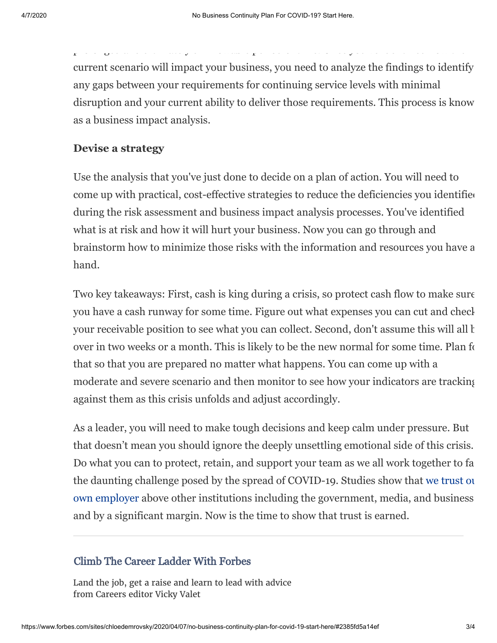prolonged and ultimately unknowable period of time. Once you've identified how the

current scenario will impact your business, you need to analyze the findings to identify any gaps between your requirements for continuing service levels with minimal disruption and your current ability to deliver those requirements. This process is know as a business impact analysis.

#### **Devise a strategy**

Use the analysis that you've just done to decide on a plan of action. You will need to come up with practical, cost-effective strategies to reduce the deficiencies you identified during the risk assessment and business impact analysis processes. You've identified what is at risk and how it will hurt your business. Now you can go through and brainstorm how to minimize those risks with the information and resources you have a hand.

Two key takeaways: First, cash is king during a crisis, so protect cash flow to make sure you have a cash runway for some time. Figure out what expenses you can cut and check your receivable position to see what you can collect. Second, don't assume this will all  $k$ over in two weeks or a month. This is likely to be the new normal for some time. Plan for that so that you are prepared no matter what happens. You can come up with a moderate and severe scenario and then monitor to see how your indicators are tracking against them as this crisis unfolds and adjust accordingly.

As a leader, you will need to make tough decisions and keep calm under pressure. But that doesn't mean you should ignore the deeply unsettling emotional side of this crisis. Do what you can to protect, retain, and support your team as we all work together to fa [the daunting challenge posed by the spread of COVID-19. Studies show that we trust ou](https://www.edelman.com/trustbarometer) own employer above other institutions including the government, media, and business and by a significant margin. Now is the time to show that trust is earned.

#### Climb The Career Ladder With Forbes

Land the job, get a raise and learn to lead with advice from Careers editor Vicky Valet